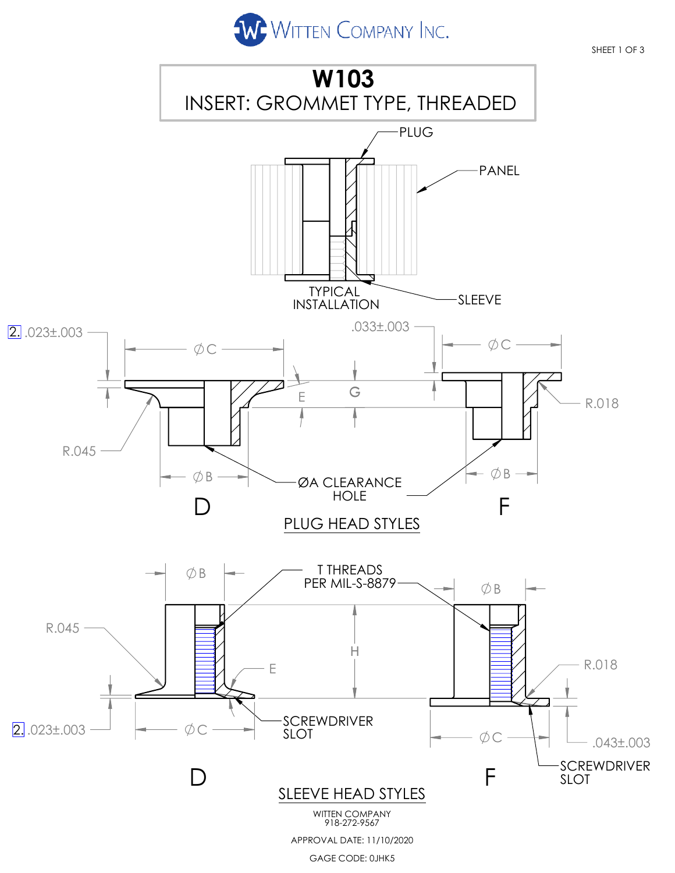

SHEET 1 OF 3

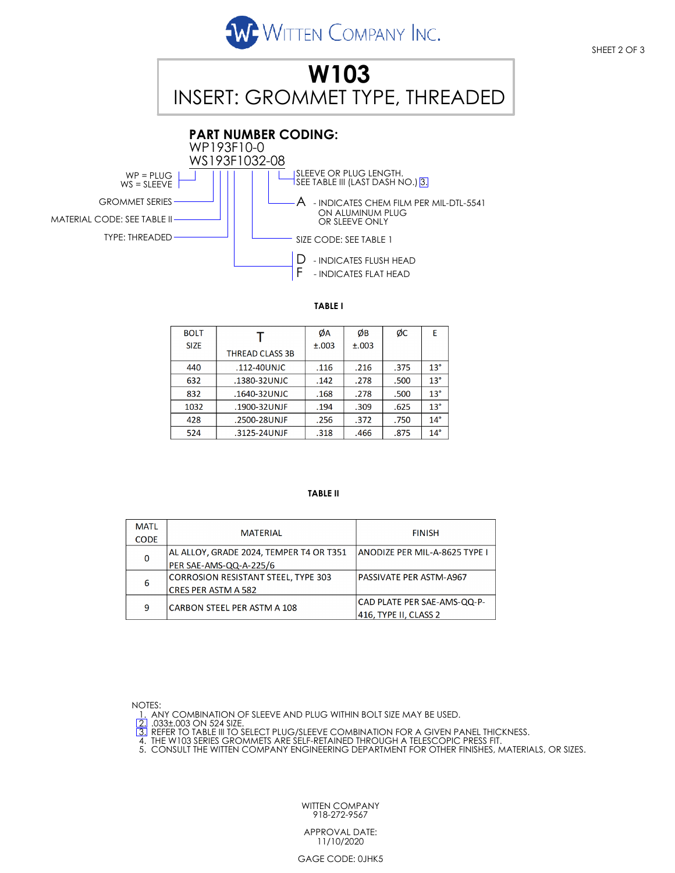



## **TABLE I**

| <b>BOLT</b> |                        | ØA    | ØB    | ØС   | E            |
|-------------|------------------------|-------|-------|------|--------------|
| <b>SIZE</b> |                        | ±.003 | ±.003 |      |              |
|             | <b>THREAD CLASS 3B</b> |       |       |      |              |
| 440         | .112-40UNJC            | .116  | .216  | .375 | $13^{\circ}$ |
| 632         | .1380-32UNJC           | .142  | .278  | .500 | $13^\circ$   |
| 832         | .1640-32UNJC           | .168  | .278  | .500 | $13^\circ$   |
| 1032        | .1900-32UNJF           | .194  | .309  | .625 | $13^\circ$   |
| 428         | .2500-28UNJF           | .256  | .372  | .750 | $14^{\circ}$ |
| 524         | .3125-24UNJF           | .318  | .466  | .875 | $14^\circ$   |

## **TABLE II**

| <b>MATL</b> | <b>MATERIAL</b>                            | <b>FINISH</b>                  |  |  |
|-------------|--------------------------------------------|--------------------------------|--|--|
| <b>CODE</b> |                                            |                                |  |  |
| $\mathbf 0$ | AL ALLOY, GRADE 2024, TEMPER T4 OR T351    | ANODIZE PER MIL-A-8625 TYPE I  |  |  |
|             | PER SAE-AMS-QQ-A-225/6                     |                                |  |  |
| 6           | <b>CORROSION RESISTANT STEEL, TYPE 303</b> | <b>PASSIVATE PER ASTM-A967</b> |  |  |
|             | CRES PER ASTM A 582                        |                                |  |  |
| 9           | CARBON STEEL PER ASTM A 108                | CAD PLATE PER SAE-AMS-QQ-P-    |  |  |
|             |                                            | 416. TYPE II. CLASS 2          |  |  |

NOTES:

1. ANY COMBINATION OF SLEEVE AND PLUG WITHIN BOLT SIZE MAY BE USED.<br>[2] .033±.003 ON 524 SIZE.<br>[3] REFER TO TABLE III TO SELECT PLUG/SLEEVE COMBINATION FOR A GIVEN PANEL THICKNESS.<br>4. THE W103 SERIES GROMMETS ARE SELF-RETA

5. CONSULT THE WITTEN COMPANY ENGINEERING DEPARTMENT FOR OTHER FINISHES, MATERIALS, OR SIZES.

WITTEN COMPANY 918-272-9567

APPROVAL DATE: 11/10/2020

GAGE CODE: 0JHK5